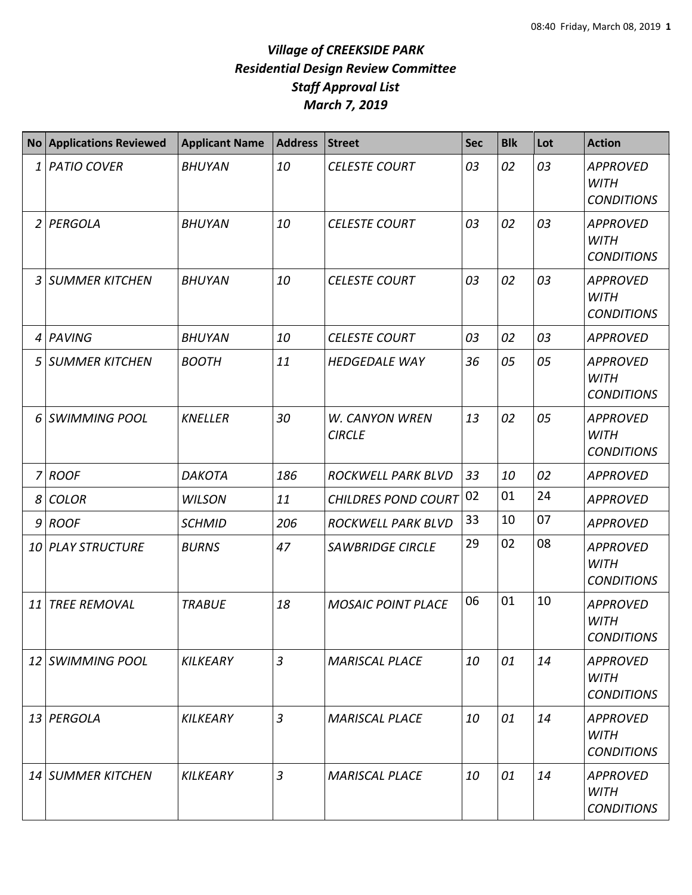|                | <b>No Applications Reviewed</b> | <b>Applicant Name</b> | <b>Address</b> | <b>Street</b>                          | <b>Sec</b> | <b>Blk</b> | Lot | <b>Action</b>                                       |
|----------------|---------------------------------|-----------------------|----------------|----------------------------------------|------------|------------|-----|-----------------------------------------------------|
| 1              | <b>PATIO COVER</b>              | <b>BHUYAN</b>         | 10             | <b>CELESTE COURT</b>                   | 03         | 02         | 03  | <b>APPROVED</b><br><b>WITH</b><br><b>CONDITIONS</b> |
| $\overline{2}$ | PERGOLA                         | <b>BHUYAN</b>         | 10             | <b>CELESTE COURT</b>                   | 03         | 02         | 03  | <b>APPROVED</b><br><b>WITH</b><br><b>CONDITIONS</b> |
| 3              | <b>SUMMER KITCHEN</b>           | <b>BHUYAN</b>         | 10             | <b>CELESTE COURT</b>                   | 03         | 02         | 03  | <b>APPROVED</b><br><b>WITH</b><br><b>CONDITIONS</b> |
| 4              | <b>PAVING</b>                   | <b>BHUYAN</b>         | 10             | <b>CELESTE COURT</b>                   | 03         | 02         | 03  | <b>APPROVED</b>                                     |
| 5              | <b>SUMMER KITCHEN</b>           | <b>BOOTH</b>          | 11             | <b>HEDGEDALE WAY</b>                   | 36         | 05         | 05  | <b>APPROVED</b><br><b>WITH</b><br><b>CONDITIONS</b> |
| 6              | <b>SWIMMING POOL</b>            | <b>KNELLER</b>        | 30             | <b>W. CANYON WREN</b><br><b>CIRCLE</b> | 13         | 02         | 05  | <b>APPROVED</b><br><b>WITH</b><br><b>CONDITIONS</b> |
| $\overline{7}$ | <b>ROOF</b>                     | <b>DAKOTA</b>         | 186            | ROCKWELL PARK BLVD                     | 33         | 10         | 02  | <b>APPROVED</b>                                     |
| 8              | <b>COLOR</b>                    | <b>WILSON</b>         | 11             | <b>CHILDRES POND COURT</b>             | 02         | 01         | 24  | <b>APPROVED</b>                                     |
|                | $9$ ROOF                        | <b>SCHMID</b>         | 206            | ROCKWELL PARK BLVD                     | 33         | 10         | 07  | <b>APPROVED</b>                                     |
|                | 10 PLAY STRUCTURE               | <b>BURNS</b>          | 47             | <b>SAWBRIDGE CIRCLE</b>                | 29         | 02         | 08  | <b>APPROVED</b><br><b>WITH</b><br><b>CONDITIONS</b> |
| 11             | <b>TREE REMOVAL</b>             | <b>TRABUE</b>         | 18             | <b>MOSAIC POINT PLACE</b>              | 06         | 01         | 10  | <b>APPROVED</b><br><b>WITH</b><br><b>CONDITIONS</b> |
|                | 12 SWIMMING POOL                | <b>KILKEARY</b>       | $\mathfrak{Z}$ | <b>MARISCAL PLACE</b>                  | 10         | 01         | 14  | <b>APPROVED</b><br><b>WITH</b><br><b>CONDITIONS</b> |
|                | 13 PERGOLA                      | KILKEARY              | $\mathfrak{Z}$ | <b>MARISCAL PLACE</b>                  | 10         | 01         | 14  | <b>APPROVED</b><br>WITH<br><b>CONDITIONS</b>        |
|                | 14 SUMMER KITCHEN               | KILKEARY              | $\overline{3}$ | <b>MARISCAL PLACE</b>                  | 10         | 01         | 14  | APPROVED<br><b>WITH</b><br><b>CONDITIONS</b>        |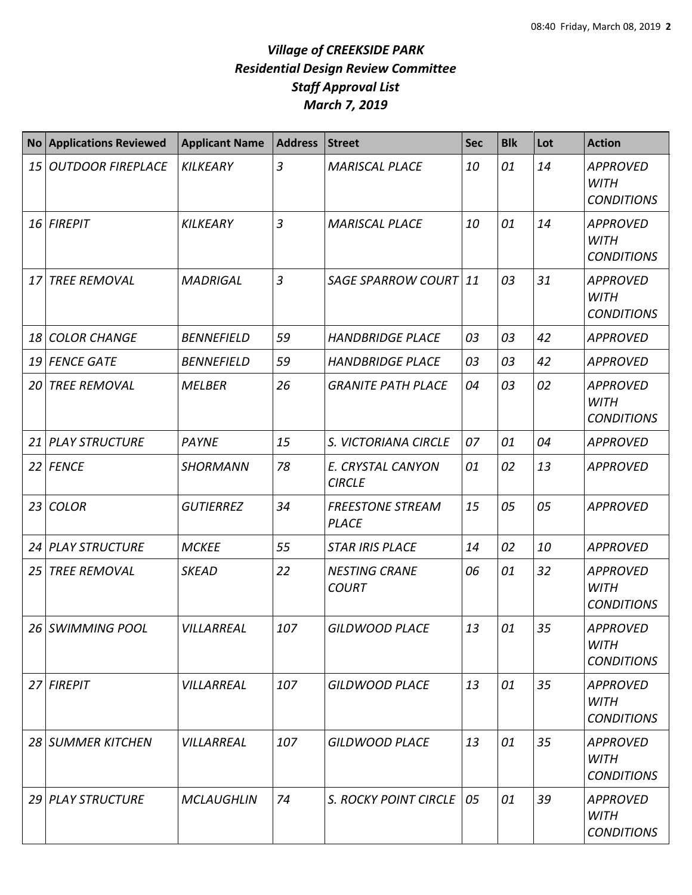| <b>No</b> | <b>Applications Reviewed</b> | <b>Applicant Name</b> | <b>Address</b> | <b>Street</b>                           | <b>Sec</b> | <b>Blk</b> | Lot | <b>Action</b>                                       |
|-----------|------------------------------|-----------------------|----------------|-----------------------------------------|------------|------------|-----|-----------------------------------------------------|
| 15        | <b>OUTDOOR FIREPLACE</b>     | <b>KILKEARY</b>       | $\overline{3}$ | <b>MARISCAL PLACE</b>                   | 10         | 01         | 14  | <b>APPROVED</b><br><b>WITH</b><br><b>CONDITIONS</b> |
| 16        | <b>FIREPIT</b>               | <b>KILKEARY</b>       | $\overline{3}$ | <b>MARISCAL PLACE</b>                   | 10         | 01         | 14  | <b>APPROVED</b><br><b>WITH</b><br><b>CONDITIONS</b> |
| 17        | <b>TREE REMOVAL</b>          | <b>MADRIGAL</b>       | $\overline{3}$ | SAGE SPARROW COURT 11                   |            | 03         | 31  | <b>APPROVED</b><br><b>WITH</b><br><b>CONDITIONS</b> |
| 18        | <b>COLOR CHANGE</b>          | <b>BENNEFIELD</b>     | 59             | <b>HANDBRIDGE PLACE</b>                 | 03         | 03         | 42  | <b>APPROVED</b>                                     |
| 19        | <b>FENCE GATE</b>            | <b>BENNEFIELD</b>     | 59             | <b>HANDBRIDGE PLACE</b>                 | 03         | 03         | 42  | <b>APPROVED</b>                                     |
| 20        | <b>TREE REMOVAL</b>          | <b>MELBER</b>         | 26             | <b>GRANITE PATH PLACE</b>               | 04         | 03         | 02  | <b>APPROVED</b><br><b>WITH</b><br><b>CONDITIONS</b> |
| 21        | <b>PLAY STRUCTURE</b>        | <b>PAYNE</b>          | 15             | S. VICTORIANA CIRCLE                    | 07         | 01         | 04  | <b>APPROVED</b>                                     |
|           | 22 FENCE                     | <b>SHORMANN</b>       | 78             | E. CRYSTAL CANYON<br><b>CIRCLE</b>      | 01         | 02         | 13  | <b>APPROVED</b>                                     |
| 23        | <b>COLOR</b>                 | <b>GUTIERREZ</b>      | 34             | <b>FREESTONE STREAM</b><br><b>PLACE</b> | 15         | 05         | 05  | <b>APPROVED</b>                                     |
| 24        | <b>PLAY STRUCTURE</b>        | <b>MCKEE</b>          | 55             | <b>STAR IRIS PLACE</b>                  | 14         | 02         | 10  | <b>APPROVED</b>                                     |
| 25        | <b>TREE REMOVAL</b>          | <b>SKEAD</b>          | 22             | <b>NESTING CRANE</b><br><b>COURT</b>    | 06         | 01         | 32  | <b>APPROVED</b><br><b>WITH</b><br><b>CONDITIONS</b> |
| 26        | SWIMMING POOL                | VILLARREAL            | 107            | <b>GILDWOOD PLACE</b>                   | 13         | 01         | 35  | <b>APPROVED</b><br>WITH<br><b>CONDITIONS</b>        |
| 27        | <b>FIREPIT</b>               | VILLARREAL            | 107            | <b>GILDWOOD PLACE</b>                   | 13         | 01         | 35  | <b>APPROVED</b><br>WITH<br><b>CONDITIONS</b>        |
| 28        | <b>SUMMER KITCHEN</b>        | VILLARREAL            | 107            | <b>GILDWOOD PLACE</b>                   | 13         | 01         | 35  | <b>APPROVED</b><br><b>WITH</b><br><b>CONDITIONS</b> |
|           | 29 PLAY STRUCTURE            | <b>MCLAUGHLIN</b>     | 74             | <b>S. ROCKY POINT CIRCLE</b>            | 05         | 01         | 39  | <b>APPROVED</b><br><b>WITH</b><br><b>CONDITIONS</b> |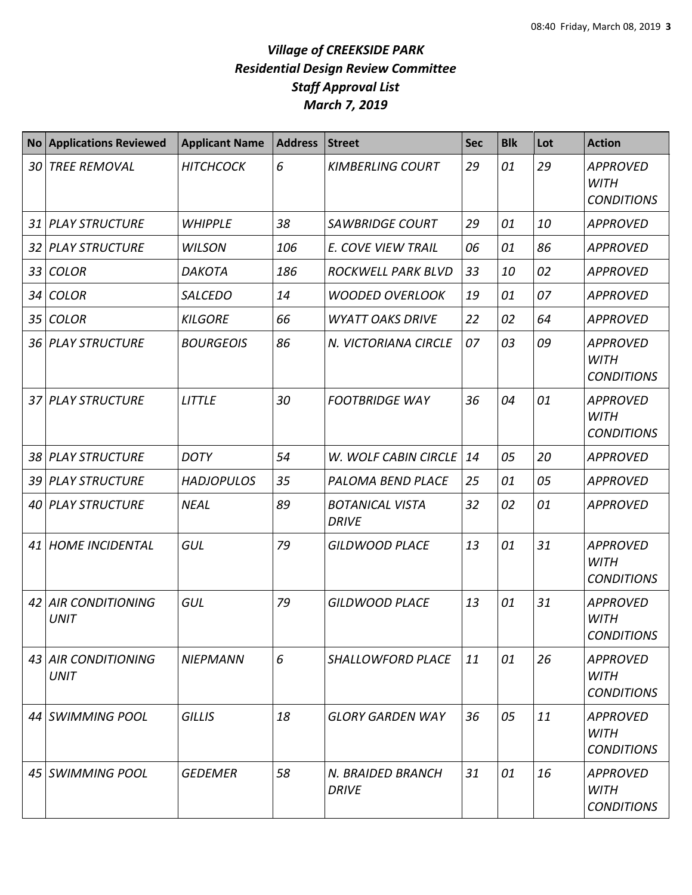| <b>No</b> | <b>Applications Reviewed</b>           | <b>Applicant Name</b> | <b>Address</b> | <b>Street</b>                          | <b>Sec</b> | <b>Blk</b> | Lot | <b>Action</b>                                       |
|-----------|----------------------------------------|-----------------------|----------------|----------------------------------------|------------|------------|-----|-----------------------------------------------------|
| 30        | <b>TREE REMOVAL</b>                    | <b>HITCHCOCK</b>      | 6              | <b>KIMBERLING COURT</b>                | 29         | 01         | 29  | <b>APPROVED</b><br><b>WITH</b><br><b>CONDITIONS</b> |
| 31        | <b>PLAY STRUCTURE</b>                  | <b>WHIPPLE</b>        | 38             | <b>SAWBRIDGE COURT</b>                 | 29         | 01         | 10  | <b>APPROVED</b>                                     |
| 32        | <b>PLAY STRUCTURE</b>                  | <b>WILSON</b>         | 106            | E. COVE VIEW TRAIL                     | 06         | 01         | 86  | <b>APPROVED</b>                                     |
| 33        | <b>COLOR</b>                           | <b>DAKOTA</b>         | 186            | ROCKWELL PARK BLVD                     | 33         | 10         | 02  | <b>APPROVED</b>                                     |
| 34        | <b>COLOR</b>                           | <b>SALCEDO</b>        | 14             | <b>WOODED OVERLOOK</b>                 | 19         | 01         | 07  | <b>APPROVED</b>                                     |
| 35        | <b>COLOR</b>                           | <b>KILGORE</b>        | 66             | <b>WYATT OAKS DRIVE</b>                | 22         | 02         | 64  | <b>APPROVED</b>                                     |
|           | 36 PLAY STRUCTURE                      | <b>BOURGEOIS</b>      | 86             | N. VICTORIANA CIRCLE                   | 07         | 03         | 09  | <b>APPROVED</b><br><b>WITH</b><br><b>CONDITIONS</b> |
| 37        | <b>PLAY STRUCTURE</b>                  | <b>LITTLE</b>         | 30             | <b>FOOTBRIDGE WAY</b>                  | 36         | 04         | 01  | <b>APPROVED</b><br><b>WITH</b><br><b>CONDITIONS</b> |
| 38        | <b>PLAY STRUCTURE</b>                  | <b>DOTY</b>           | 54             | <b>W. WOLF CABIN CIRCLE</b>            | 14         | 05         | 20  | <b>APPROVED</b>                                     |
| 39        | <b>PLAY STRUCTURE</b>                  | <b>HADJOPULOS</b>     | 35             | PALOMA BEND PLACE                      | 25         | 01         | 05  | <b>APPROVED</b>                                     |
| 40        | <b>PLAY STRUCTURE</b>                  | <b>NEAL</b>           | 89             | <b>BOTANICAL VISTA</b><br><b>DRIVE</b> | 32         | 02         | 01  | <b>APPROVED</b>                                     |
| 41        | <b>HOME INCIDENTAL</b>                 | GUL                   | 79             | <b>GILDWOOD PLACE</b>                  | 13         | 01         | 31  | <b>APPROVED</b><br><b>WITH</b><br><b>CONDITIONS</b> |
| 42        | <b>AIR CONDITIONING</b><br><b>UNIT</b> | GUL                   | 79             | <b>GILDWOOD PLACE</b>                  | 13         | 01         | 31  | <b>APPROVED</b><br><b>WITH</b><br><b>CONDITIONS</b> |
|           | 43 AIR CONDITIONING<br><b>UNIT</b>     | <b>NIEPMANN</b>       | 6              | SHALLOWFORD PLACE                      | 11         | 01         | 26  | <b>APPROVED</b><br>WITH<br><b>CONDITIONS</b>        |
|           | 44 SWIMMING POOL                       | <b>GILLIS</b>         | 18             | <b>GLORY GARDEN WAY</b>                | 36         | 05         | 11  | APPROVED<br><b>WITH</b><br><b>CONDITIONS</b>        |
|           | 45 SWIMMING POOL                       | <b>GEDEMER</b>        | 58             | N. BRAIDED BRANCH<br><b>DRIVE</b>      | 31         | 01         | 16  | <b>APPROVED</b><br><b>WITH</b><br><b>CONDITIONS</b> |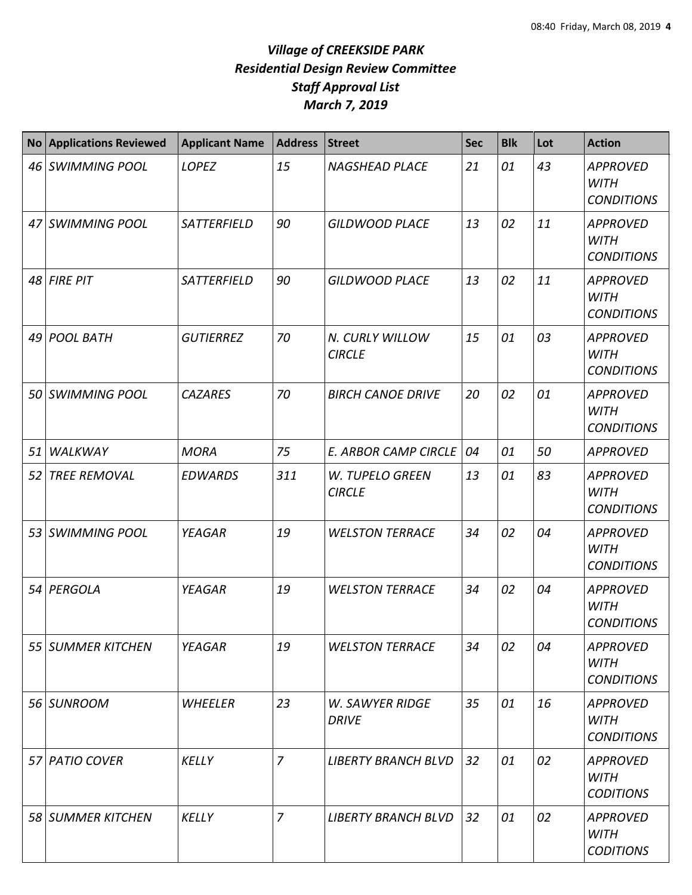| <b>No</b> | <b>Applications Reviewed</b> | <b>Applicant Name</b> | <b>Address</b> | <b>Street</b>                          | <b>Sec</b> | <b>Blk</b> | Lot | <b>Action</b>                                       |
|-----------|------------------------------|-----------------------|----------------|----------------------------------------|------------|------------|-----|-----------------------------------------------------|
|           | 46 SWIMMING POOL             | LOPEZ                 | 15             | <b>NAGSHEAD PLACE</b>                  | 21         | 01         | 43  | <b>APPROVED</b><br><b>WITH</b><br><b>CONDITIONS</b> |
|           | 47 SWIMMING POOL             | SATTERFIELD           | 90             | <b>GILDWOOD PLACE</b>                  | 13         | 02         | 11  | <b>APPROVED</b><br><b>WITH</b><br><b>CONDITIONS</b> |
|           | $48$ FIRE PIT                | SATTERFIELD           | 90             | <b>GILDWOOD PLACE</b>                  | 13         | 02         | 11  | <b>APPROVED</b><br><b>WITH</b><br><b>CONDITIONS</b> |
| 491       | <b>POOL BATH</b>             | <b>GUTIERREZ</b>      | 70             | N. CURLY WILLOW<br><b>CIRCLE</b>       | 15         | 01         | 03  | <b>APPROVED</b><br><b>WITH</b><br><b>CONDITIONS</b> |
|           | 50 SWIMMING POOL             | <b>CAZARES</b>        | 70             | <b>BIRCH CANOE DRIVE</b>               | 20         | 02         | 01  | <b>APPROVED</b><br><b>WITH</b><br><b>CONDITIONS</b> |
| 51        | WALKWAY                      | <b>MORA</b>           | 75             | <b>E. ARBOR CAMP CIRCLE</b>            | 04         | 01         | 50  | <b>APPROVED</b>                                     |
| 52        | <b>TREE REMOVAL</b>          | <b>EDWARDS</b>        | 311            | W. TUPELO GREEN<br><b>CIRCLE</b>       | 13         | 01         | 83  | <b>APPROVED</b><br><b>WITH</b><br><b>CONDITIONS</b> |
| 53        | <b>SWIMMING POOL</b>         | <b>YEAGAR</b>         | 19             | <b>WELSTON TERRACE</b>                 | 34         | 02         | 04  | <b>APPROVED</b><br><b>WITH</b><br><b>CONDITIONS</b> |
|           | 54 PERGOLA                   | <b>YEAGAR</b>         | 19             | <b>WELSTON TERRACE</b>                 | 34         | 02         | 04  | <b>APPROVED</b><br><b>WITH</b><br><b>CONDITIONS</b> |
|           | 55 SUMMER KITCHEN            | YEAGAR                | 19             | <b>WELSTON TERRACE</b>                 | 34         | 02         | 04  | <b>APPROVED</b><br><b>WITH</b><br><b>CONDITIONS</b> |
|           | 56 SUNROOM                   | WHEELER               | 23             | <b>W. SAWYER RIDGE</b><br><b>DRIVE</b> | 35         | 01         | 16  | <b>APPROVED</b><br><b>WITH</b><br><b>CONDITIONS</b> |
|           | 57 PATIO COVER               | <b>KELLY</b>          | $\overline{z}$ | <b>LIBERTY BRANCH BLVD</b>             | 32         | 01         | 02  | <b>APPROVED</b><br><b>WITH</b><br><b>CODITIONS</b>  |
|           | 58 SUMMER KITCHEN            | <b>KELLY</b>          | $\overline{7}$ | <b>LIBERTY BRANCH BLVD</b>             | 32         | 01         | 02  | <b>APPROVED</b><br><b>WITH</b><br><b>CODITIONS</b>  |